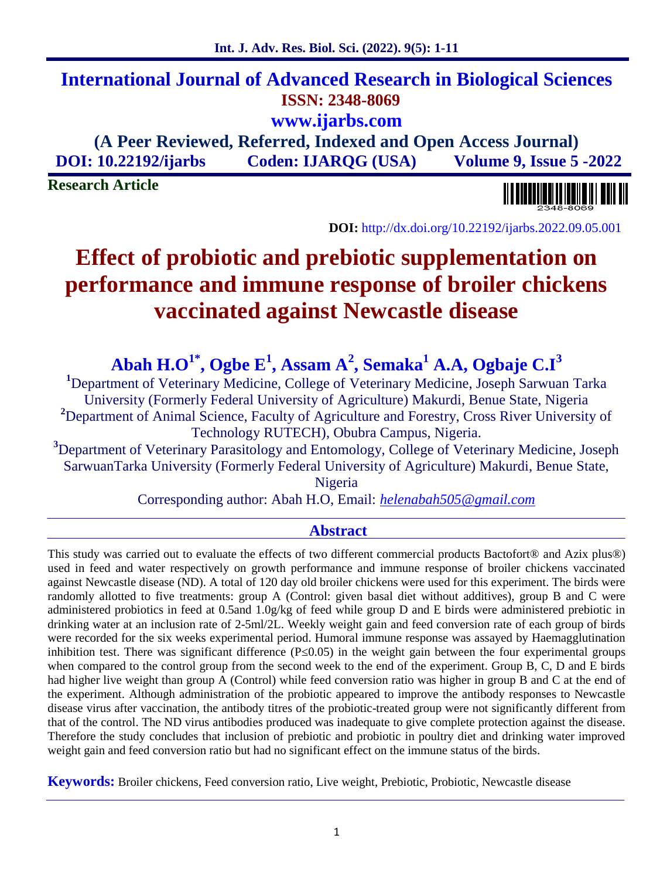## **International Journal of Advanced Research in Biological Sciences ISSN: 2348-8069 www.ijarbs.com**

**(A Peer Reviewed, Referred, Indexed and Open Access Journal) DOI: 10.22192/ijarbs Coden: IJARQG (USA) Volume 9, Issue 5 -2022**

**Research Article**



**DOI:** http://dx.doi.org/10.22192/ijarbs.2022.09.05.001

# **Effect of probiotic and prebiotic supplementation on performance and immune response of broiler chickens vaccinated against Newcastle disease**

**Abah H.O1\*, Ogbe E<sup>1</sup> , Assam A<sup>2</sup> , Semaka<sup>1</sup> A.A, Ogbaje C.I<sup>3</sup>**

**<sup>1</sup>**Department of Veterinary Medicine, College of Veterinary Medicine, Joseph Sarwuan Tarka University (Formerly Federal University of Agriculture) Makurdi, Benue State, Nigeria <sup>2</sup>Department of Animal Science, Faculty of Agriculture and Forestry, Cross River University of Technology RUTECH), Obubra Campus, Nigeria.

**<sup>3</sup>**Department of Veterinary Parasitology and Entomology, College of Veterinary Medicine, Joseph SarwuanTarka University (Formerly Federal University of Agriculture) Makurdi, Benue State, Nigeria

Corresponding author: Abah H.O, Email: *helenabah505@gmail.com*

## **Abstract**

This study was carried out to evaluate the effects of two different commercial products Bactofort<sup>®</sup> and Azix plus<sup>®</sup>) used in feed and water respectively on growth performance and immune response of broiler chickens vaccinated against Newcastle disease (ND). A total of 120 day old broiler chickens were used for this experiment. The birds were randomly allotted to five treatments: group A (Control: given basal diet without additives), group B and C were administered probiotics in feed at 0.5and 1.0g/kg of feed while group D and E birds were administered prebiotic in drinking water at an inclusion rate of 2-5ml/2L. Weekly weight gain and feed conversion rate of each group of birds were recorded for the six weeks experimental period. Humoral immune response was assayed by Haemagglutination inhibition test. There was significant difference (P 0.05) in the weight gain between the four experimental groups when compared to the control group from the second week to the end of the experiment. Group B, C, D and E birds had higher live weight than group A (Control) while feed conversion ratio was higher in group B and C at the end of the experiment. Although administration of the probiotic appeared to improve the antibody responses to Newcastle disease virus after vaccination, the antibody titres of the probiotic-treated group were not significantly different from that of the control. The ND virus antibodies produced was inadequate to give complete protection against the disease. Therefore the study concludes that inclusion of prebiotic and probiotic in poultry diet and drinking water improved weight gain and feed conversion ratio but had no significant effect on the immune status of the birds.

**Keywords:** Broiler chickens, Feed conversion ratio, Live weight, Prebiotic, Probiotic, Newcastle disease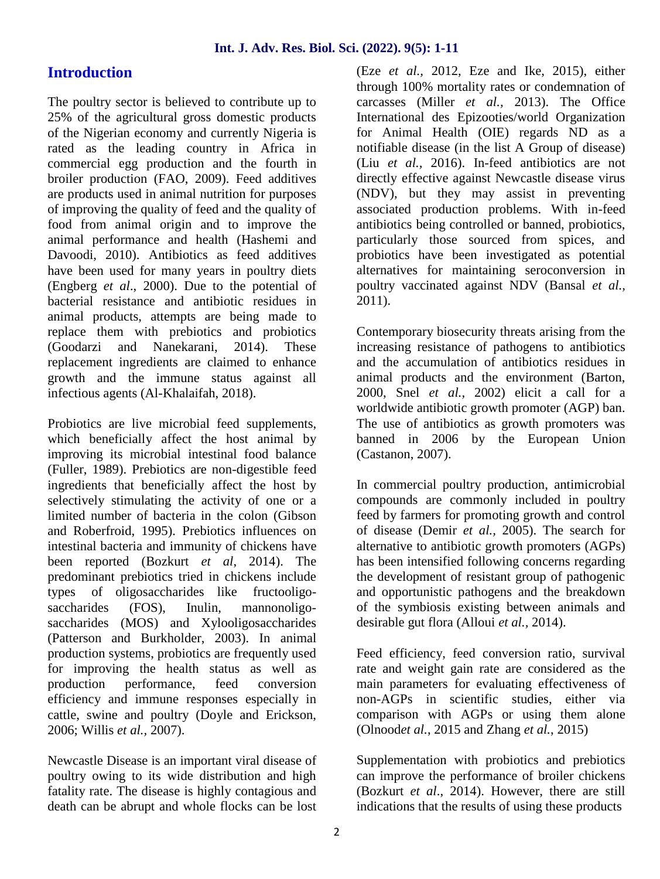## **Introduction**

The poultry sector is believed to contribute up to 25% of the agricultural gross domestic products of the Nigerian economy and currently Nigeria is rated as the leading country in Africa in commercial egg production and the fourth in broiler production (FAO, 2009). Feed additives are products used in animal nutrition for purposes of improving the quality of feed and the quality of food from animal origin and to improve the animal performance and health (Hashemi and Davoodi, 2010). Antibiotics as feed additives have been used for many years in poultry diets (Engberg *et al*., 2000). Due to the potential of bacterial resistance and antibiotic residues in animal products, attempts are being made to replace them with prebiotics and probiotics (Goodarzi and Nanekarani, 2014). These replacement ingredients are claimed to enhance growth and the immune status against all infectious agents (Al-Khalaifah, 2018).

Probiotics are live microbial feed supplements, which beneficially affect the host animal by improving its microbial intestinal food balance (Fuller, 1989). Prebiotics are non-digestible feed ingredients that beneficially affect the host by selectively stimulating the activity of one or a limited number of bacteria in the colon (Gibson and Roberfroid, 1995). Prebiotics influences on intestinal bacteria and immunity of chickens have been reported (Bozkurt *et al*, 2014). The predominant prebiotics tried in chickens include types of oligosaccharides like fructooligo saccharides (FOS), Inulin, mannonoligosaccharides (MOS) and Xylooligosaccharides (Patterson and Burkholder, 2003). In animal production systems, probiotics are frequently used for improving the health status as well as production performance, feed conversion efficiency and immune responses especially in cattle, swine and poultry (Doyle and Erickson, 2006; Willis *et al.,* 2007).

Newcastle Disease is an important viral disease of poultry owing to its wide distribution and high fatality rate. The disease is highly contagious and death can be abrupt and whole flocks can be lost (Eze *et al.,* 2012, Eze and Ike, 2015), either through 100% mortality rates or condemnation of carcasses (Miller *et al.,* 2013). The Office International des Epizooties/world Organization for Animal Health (OIE) regards ND as a notifiable disease (in the list A Group of disease) (Liu *et al.,* 2016). In-feed antibiotics are not directly effective against Newcastle disease virus (NDV), but they may assist in preventing associated production problems. With in-feed antibiotics being controlled or banned, probiotics, particularly those sourced from spices, and probiotics have been investigated as potential alternatives for maintaining seroconversion in poultry vaccinated against NDV (Bansal *et al.,* 2011).

Contemporary biosecurity threats arising from the increasing resistance of pathogens to antibiotics and the accumulation of antibiotics residues in animal products and the environment (Barton, 2000, Snel *et al.,* 2002) elicit a call for a worldwide antibiotic growth promoter (AGP) ban. The use of antibiotics as growth promoters was banned in 2006 by the European Union (Castanon, 2007).

In commercial poultry production, antimicrobial compounds are commonly included in poultry feed by farmers for promoting growth and control of disease (Demir *et al.,* 2005). The search for alternative to antibiotic growth promoters (AGPs) has been intensified following concerns regarding the development of resistant group of pathogenic and opportunistic pathogens and the breakdown of the symbiosis existing between animals and desirable gut flora (Alloui *et al.,* 2014).

Feed efficiency, feed conversion ratio, survival rate and weight gain rate are considered as the main parameters for evaluating effectiveness of non-AGPs in scientific studies, either via comparison with AGPs or using them alone (Olnood*et al.*, 2015 and Zhang *et al.*, 2015)

Supplementation with probiotics and prebiotics can improve the performance of broiler chickens (Bozkurt *et al*., 2014). However, there are still indications that the results of using these products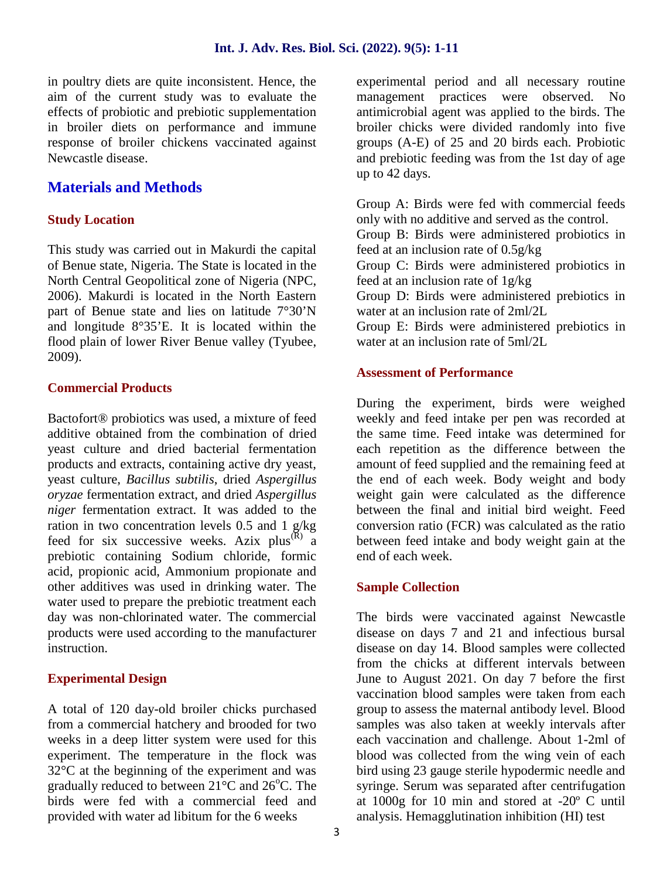in poultry diets are quite inconsistent. Hence, the aim of the current study was to evaluate the effects of probiotic and prebiotic supplementation in broiler diets on performance and immune response of broiler chickens vaccinated against Newcastle disease.

## **Materials and Methods**

#### **Study Location**

This study was carried out in Makurdi the capital of Benue state, Nigeria. The State is located in the North Central Geopolitical zone of Nigeria (NPC, 2006). Makurdi is located in the North Eastern part of Benue state and lies on latitude 7°30'N and longitude 8°35'E. It is located within the flood plain of lower River Benue valley (Tyubee, 2009).

#### **Commercial Products**

Bactofort® probiotics was used, a mixture of feed additive obtained from the combination of dried yeast culture and dried bacterial fermentation products and extracts, containing active dry yeast, yeast culture, *Bacillus subtilis*, dried *Aspergillus oryzae* fermentation extract, and dried *Aspergillus niger* fermentation extract. It was added to the ration in two concentration levels 0.5 and 1 g/kg feed for six successive weeks. Azix  $plus^{(R)}$  a prebiotic containing Sodium chloride, formic acid, propionic acid, Ammonium propionate and other additives was used in drinking water. The water used to prepare the prebiotic treatment each day was non-chlorinated water. The commercial products were used according to the manufacturer instruction.

#### **Experimental Design**

A total of 120 day-old broiler chicks purchased from a commercial hatchery and brooded for two weeks in a deep litter system were used for this experiment. The temperature in the flock was 32°C at the beginning of the experiment and was gradually reduced to between  $21^{\circ}$ C and  $26^{\circ}$ C. The birds were fed with a commercial feed and provided with water ad libitum for the 6 weeks

experimental period and all necessary routine management practices were observed. No antimicrobial agent was applied to the birds. The broiler chicks were divided randomly into five groups (A-E) of 25 and 20 birds each. Probiotic and prebiotic feeding was from the 1st day of age up to 42 days.

Group A: Birds were fed with commercial feeds only with no additive and served as the control. Group B: Birds were administered probiotics in feed at an inclusion rate of 0.5g/kg Group C: Birds were administered probiotics in feed at an inclusion rate of 1g/kg Group D: Birds were administered prebiotics in water at an inclusion rate of 2ml/2L Group E: Birds were administered prebiotics in water at an inclusion rate of 5ml/2L

#### **Assessment of Performance**

During the experiment, birds were weighed weekly and feed intake per pen was recorded at the same time. Feed intake was determined for each repetition as the difference between the amount of feed supplied and the remaining feed at the end of each week. Body weight and body weight gain were calculated as the difference between the final and initial bird weight. Feed conversion ratio (FCR) was calculated as the ratio between feed intake and body weight gain at the end of each week.

#### **Sample Collection**

The birds were vaccinated against Newcastle disease on days 7 and 21 and infectious bursal disease on day 14. Blood samples were collected from the chicks at different intervals between June to August 2021. On day 7 before the first vaccination blood samples were taken from each group to assess the maternal antibody level. Blood samples was also taken at weekly intervals after each vaccination and challenge. About 1-2ml of blood was collected from the wing vein of each bird using 23 gauge sterile hypodermic needle and syringe. Serum was separated after centrifugation at 1000g for 10 min and stored at -20º C until analysis. Hemagglutination inhibition (HI) test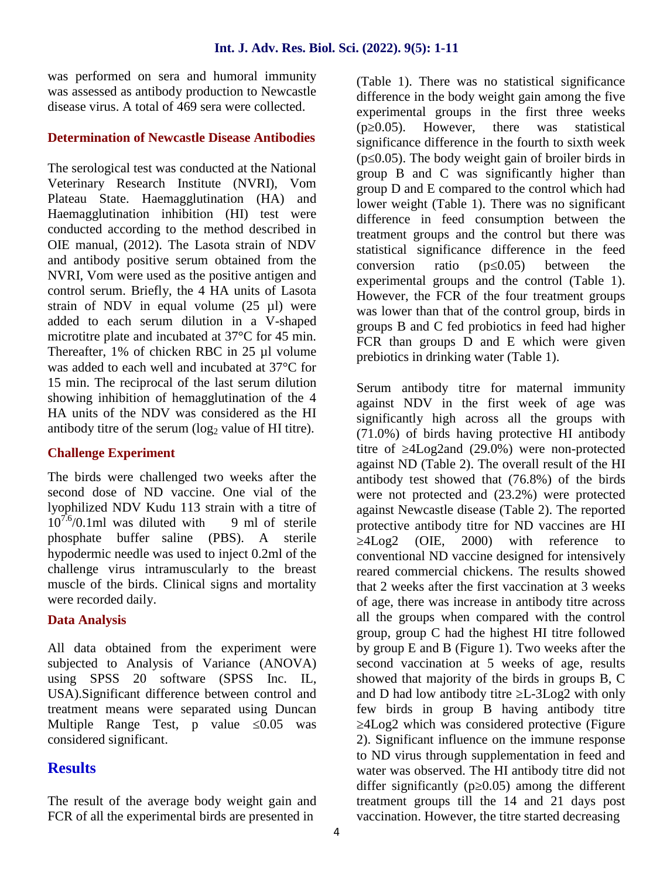was performed on sera and humoral immunity was assessed as antibody production to Newcastle disease virus. A total of 469 sera were collected.

#### **Determination of Newcastle Disease Antibodies**

The serological test was conducted at the National Veterinary Research Institute (NVRI), Vom Plateau State. Haemagglutination (HA) and Haemagglutination inhibition (HI) test were conducted according to the method described in OIE manual, (2012). The Lasota strain of NDV and antibody positive serum obtained from the NVRI, Vom were used as the positive antigen and control serum. Briefly, the 4 HA units of Lasota strain of NDV in equal volume (25 µl) were added to each serum dilution in a V-shaped microtitre plate and incubated at 37°C for 45 min. Thereafter, 1% of chicken RBC in 25 µl volume was added to each well and incubated at 37°C for 15 min. The reciprocal of the last serum dilution showing inhibition of hemagglutination of the 4 HA units of the NDV was considered as the HI antibody titre of the serum  $(\log_2$  value of HI titre).

#### **Challenge Experiment**

The birds were challenged two weeks after the second dose of ND vaccine. One vial of the lyophilized NDV Kudu 113 strain with a titre of  $10^{7.6}$ /0.1ml was diluted with 9 ml of sterile phosphate buffer saline (PBS). A sterile hypodermic needle was used to inject 0.2ml of the challenge virus intramuscularly to the breast muscle of the birds. Clinical signs and mortality were recorded daily.

#### **Data Analysis**

All data obtained from the experiment were subjected to Analysis of Variance (ANOVA) using SPSS 20 software (SPSS Inc. IL, USA).Significant difference between control and treatment means were separated using Duncan Multiple Range Test, p value 0.05 was considered significant.

## **Results**

The result of the average body weight gain and FCR of all the experimental birds are presented in

(Table 1). There was no statistical significance difference in the body weight gain among the five experimental groups in the first three weeks (p 0.05). However, there was statistical significance difference in the fourth to sixth week (p 0.05). The body weight gain of broiler birds in group B and C was significantly higher than group D and E compared to the control which had lower weight (Table 1). There was no significant difference in feed consumption between the treatment groups and the control but there was statistical significance difference in the feed conversion ratio (p 0.05) between the experimental groups and the control (Table 1). However, the FCR of the four treatment groups was lower than that of the control group, birds in groups B and C fed probiotics in feed had higher FCR than groups D and E which were given prebiotics in drinking water (Table 1).

Serum antibody titre for maternal immunity against NDV in the first week of age was significantly high across all the groups with (71.0%) of birds having protective HI antibody titre of 4Log2and (29.0%) were non-protected against ND (Table 2). The overall result of the HI antibody test showed that (76.8%) of the birds were not protected and (23.2%) were protected against Newcastle disease (Table 2). The reported protective antibody titre for ND vaccines are HI 4Log2 (OIE, 2000) with reference to conventional ND vaccine designed for intensively reared commercial chickens. The results showed that 2 weeks after the first vaccination at 3 weeks of age, there was increase in antibody titre across all the groups when compared with the control group, group C had the highest HI titre followed by group E and B (Figure 1). Two weeks after the second vaccination at 5 weeks of age, results showed that majority of the birds in groups B, C and D had low antibody titre  $L$ -3Log2 with only few birds in group B having antibody titre ≥4Log2 which was considered protective (Figure 2). Significant influence on the immune response to ND virus through supplementation in feed and water was observed. The HI antibody titre did not differ significantly (p 0.05) among the different treatment groups till the 14 and 21 days post vaccination. However, the titre started decreasing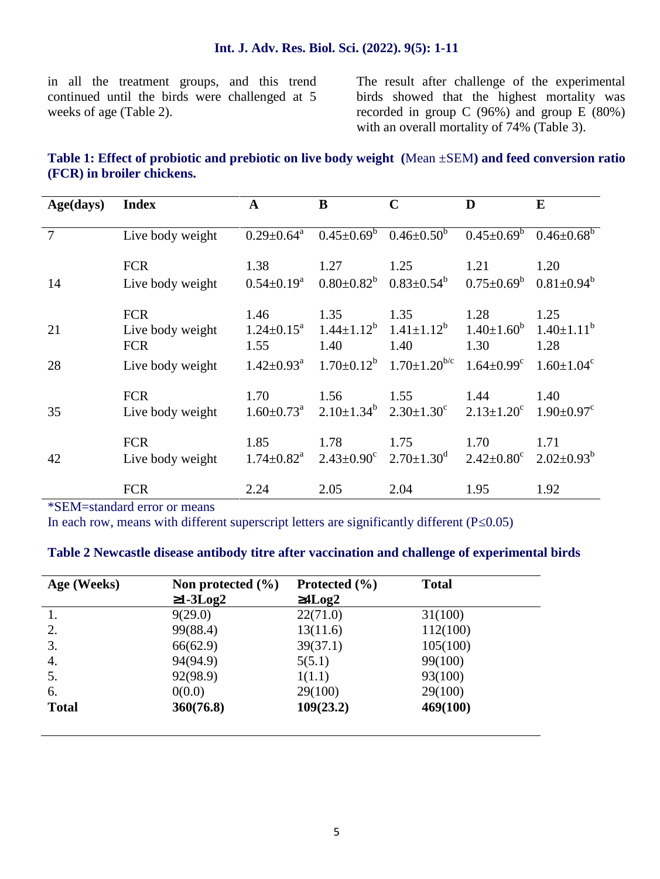in all the treatment groups, and this trend continued until the birds were challenged at 5 weeks of age (Table 2).

The result after challenge of the experimental birds showed that the highest mortality was recorded in group C (96%) and group E (80%) with an overall mortality of 74% (Table 3).

## **Table 1: Effect of probiotic and prebiotic on live body weight (**Mean ±SEM**) and feed conversion ratio (FCR) in broiler chickens.**

| Age(days)      | <b>Index</b>     | $\mathbf{A}$                 | B                       | $\mathbf C$                    | D                            | E                            |
|----------------|------------------|------------------------------|-------------------------|--------------------------------|------------------------------|------------------------------|
| $\overline{7}$ | Live body weight | $0.29 \pm 0.64^a$            | $0.45 \pm 0.69^b$       | $0.46 \pm 0.50^b$              | $0.45 \pm 0.69^b$            | $0.46 \pm 0.68^b$            |
| 14             | <b>FCR</b>       | 1.38                         | 1.27                    | 1.25                           | 1.21                         | 1.20                         |
|                | Live body weight | $0.54 \pm 0.19^a$            | $0.80 \pm 0.82^b$       | $0.83 \pm 0.54^b$              | $0.75 \pm 0.69^b$            | $0.81 \pm 0.94^b$            |
| 21             | <b>FCR</b>       | 1.46                         | 1.35                    | 1.35                           | 1.28                         | 1.25                         |
|                | Live body weight | $1.24 \pm 0.15^{\text{a}}$   | $1.44 \pm 1.12^b$       | $1.41 \pm 1.12^b$              | $1.40 \pm 1.60^b$            | $1.40 \pm 1.11^b$            |
|                | <b>FCR</b>       | 1.55                         | 1.40                    | 1.40                           | 1.30                         | 1.28                         |
| 28             | Live body weight | $1.42 \pm 0.93$ <sup>a</sup> | $1.70 \pm 0.12^b$       | $1.70 \pm 1.20$ <sup>b/c</sup> | $1.64 \pm 0.99$ <sup>c</sup> | $1.60 \pm 1.04$ <sup>c</sup> |
|                | <b>FCR</b>       | 1.70                         | 1.56                    | 1.55                           | 1.44                         | 1.40                         |
| 35             | Live body weight | $1.60 \pm 0.73$ <sup>a</sup> | $2.10 \pm 1.34^b$       | $2.30 \pm 1.30^c$              | $2.13 \pm 1.20^c$            | $1.90 \pm 0.97$ <sup>c</sup> |
|                | <b>FCR</b>       | 1.85                         | 1.78                    | 1.75                           | 1.70                         | 1.71                         |
| 42             | Live body weight | $1.74 \pm 0.82$ <sup>a</sup> | $2.43 \pm 0.90^{\circ}$ | $2.70 \pm 1.30$ <sup>d</sup>   | $2.42 \pm 0.80$ <sup>c</sup> | $2.02 \pm 0.93^b$            |
|                | <b>FCR</b>       | 2.24                         | 2.05                    | 2.04                           | 1.95                         | 1.92                         |

\*SEM=standard error or means

In each row, means with different superscript letters are significantly different (P 0.05)

#### **Table 2 Newcastle disease antibody titre after vaccination and challenge of experimental birds**

| Age (Weeks)  | Non protected $(\% )$<br>$1-3Log2$ | Protected $(\% )$<br>4Log2 | <b>Total</b> |
|--------------|------------------------------------|----------------------------|--------------|
|              | 9(29.0)                            | 22(71.0)                   | 31(100)      |
| 2.           | 99(88.4)                           | 13(11.6)                   | 112(100)     |
| 3.           | 66(62.9)                           | 39(37.1)                   | 105(100)     |
| 4.           | 94(94.9)                           | 5(5.1)                     | 99(100)      |
| 5.           | 92(98.9)                           | 1(1.1)                     | 93(100)      |
| 6.           | 0(0.0)                             | 29(100)                    | 29(100)      |
| <b>Total</b> | 360(76.8)                          | 109(23.2)                  | 469(100)     |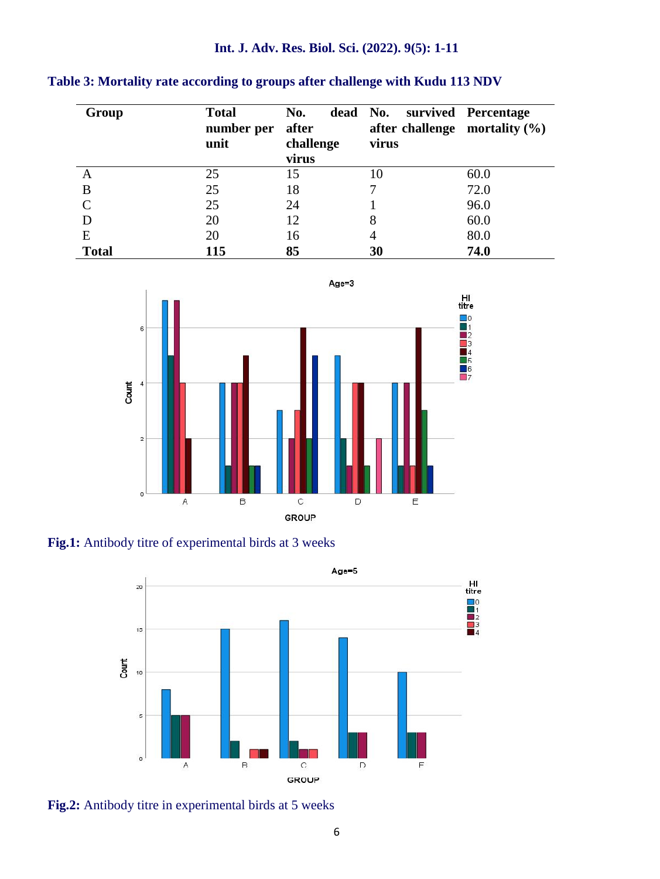## **Int. J. Adv. Res. Biol. Sci. (2022). 9(5): 1-11**

|  | Table 3: Mortality rate according to groups after challenge with Kudu 113 NDV |  |
|--|-------------------------------------------------------------------------------|--|
|  |                                                                               |  |

| Group        | <b>Total</b><br>number per | No.<br>after       | dead No. survived Percentage<br>after challenge mortality $(\% )$ |      |
|--------------|----------------------------|--------------------|-------------------------------------------------------------------|------|
|              | unit                       | challenge<br>virus | virus                                                             |      |
| А            | 25                         | 15                 | 10                                                                | 60.0 |
| В            | 25                         | 18                 |                                                                   | 72.0 |
|              | 25                         | 24                 |                                                                   | 96.0 |
|              | 20                         | 12                 | 8                                                                 | 60.0 |
| E            | 20                         | 16                 | 4                                                                 | 80.0 |
| <b>Total</b> | 115                        | 85                 | 30                                                                | 74.0 |



**Fig.1:** Antibody titre of experimental birds at 3 weeks



**Fig.2:** Antibody titre in experimental birds at 5 weeks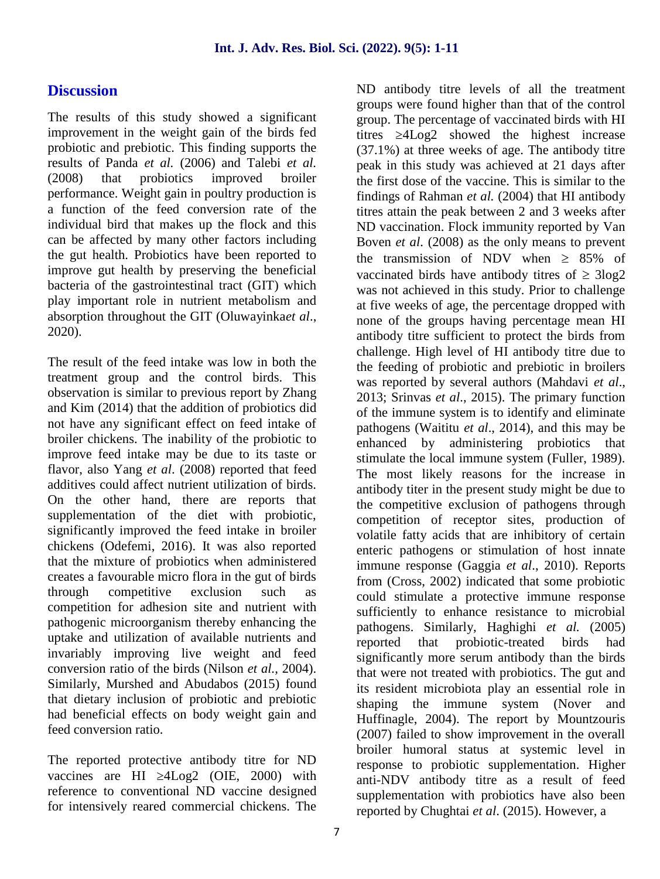## **Discussion**

The results of this study showed a significant improvement in the weight gain of the birds fed titres probiotic and prebiotic. This finding supports the results of Panda *et al.* (2006) and Talebi *et al.* (2008) that probiotics improved broiler performance. Weight gain in poultry production is a function of the feed conversion rate of the individual bird that makes up the flock and this can be affected by many other factors including the gut health. Probiotics have been reported to improve gut health by preserving the beneficial bacteria of the gastrointestinal tract (GIT) which play important role in nutrient metabolism and absorption throughout the GIT (Oluwayinka*et al*., 2020).

The result of the feed intake was low in both the treatment group and the control birds. This observation is similar to previous report by Zhang and Kim (2014) that the addition of probiotics did not have any significant effect on feed intake of broiler chickens. The inability of the probiotic to improve feed intake may be due to its taste or flavor, also Yang *et al*. (2008) reported that feed additives could affect nutrient utilization of birds. On the other hand, there are reports that supplementation of the diet with probiotic, significantly improved the feed intake in broiler chickens (Odefemi, 2016). It was also reported that the mixture of probiotics when administered creates a favourable micro flora in the gut of birds through competitive exclusion such as competition for adhesion site and nutrient with pathogenic microorganism thereby enhancing the uptake and utilization of available nutrients and reported invariably improving live weight and feed conversion ratio of the birds (Nilson *et al.,* 2004). Similarly, Murshed and Abudabos (2015) found that dietary inclusion of probiotic and prebiotic had beneficial effects on body weight gain and feed conversion ratio.

The reported protective antibody titre for ND vaccines are HI 4Log2 (OIE, 2000) with reference to conventional ND vaccine designed for intensively reared commercial chickens. The ND antibody titre levels of all the treatment groups were found higher than that of the control group. The percentage of vaccinated birds with HI  $4Log2$  showed the highest increase (37.1%) at three weeks of age. The antibody titre peak in this study was achieved at 21 days after the first dose of the vaccine. This is similar to the findings of Rahman *et al.* (2004) that HI antibody titres attain the peak between 2 and 3 weeks after ND vaccination. Flock immunity reported by Van Boven *et al*. (2008) as the only means to prevent the transmission of NDV when  $\geq 85\%$  of vaccinated birds have antibody titres of  $\geq$  3log2 was not achieved in this study. Prior to challenge at five weeks of age, the percentage dropped with none of the groups having percentage mean HI antibody titre sufficient to protect the birds from challenge. High level of HI antibody titre due to the feeding of probiotic and prebiotic in broilers was reported by several authors (Mahdavi *et al*., 2013; Srinvas *et al*., 2015). The primary function of the immune system is to identify and eliminate pathogens (Waititu *et al*., 2014), and this may be enhanced by administering probiotics that stimulate the local immune system (Fuller, 1989). The most likely reasons for the increase in antibody titer in the present study might be due to the competitive exclusion of pathogens through competition of receptor sites, production of volatile fatty acids that are inhibitory of certain enteric pathogens or stimulation of host innate immune response (Gaggia *et al*., 2010). Reports from (Cross, 2002) indicated that some probiotic could stimulate a protective immune response sufficiently to enhance resistance to microbial pathogens. Similarly, Haghighi *et al.* (2005) that probiotic-treated birds had significantly more serum antibody than the birds that were not treated with probiotics. The gut and its resident microbiota play an essential role in shaping the immune system (Nover and Huffinagle, 2004). The report by Mountzouris (2007) failed to show improvement in the overall broiler humoral status at systemic level in response to probiotic supplementation. Higher anti-NDV antibody titre as a result of feed supplementation with probiotics have also been reported by Chughtai *et al*. (2015). However, a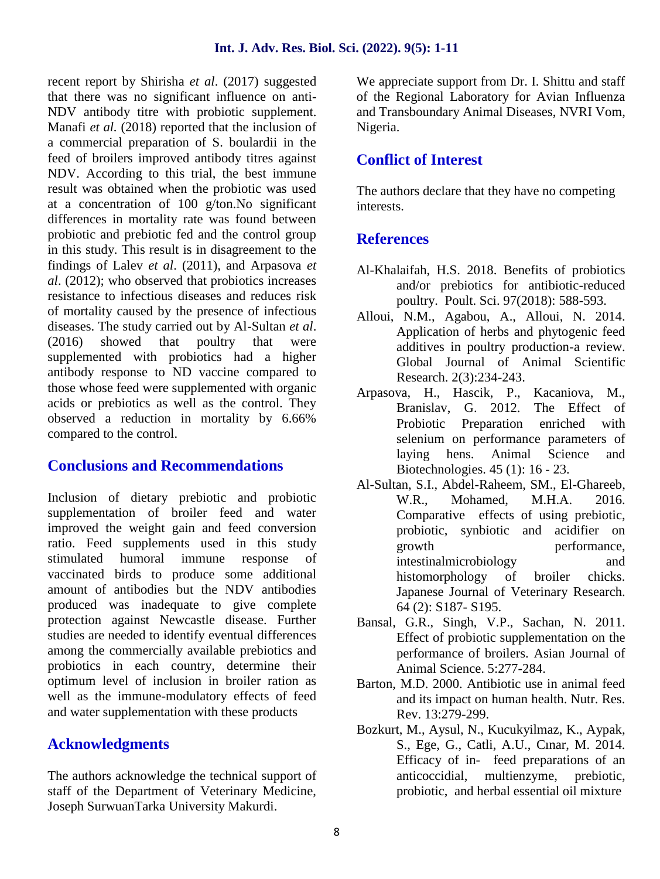recent report by Shirisha *et al*. (2017) suggested that there was no significant influence on anti- NDV antibody titre with probiotic supplement. Manafi *et al.* (2018) reported that the inclusion of a commercial preparation of S. boulardii in the feed of broilers improved antibody titres against NDV. According to this trial, the best immune result was obtained when the probiotic was used at a concentration of 100 g/ton.No significant differences in mortality rate was found between probiotic and prebiotic fed and the control group in this study. This result is in disagreement to the findings of Lalev *et al*. (2011), and Arpasova *et al*. (2012); who observed that probiotics increases resistance to infectious diseases and reduces risk of mortality caused by the presence of infectious diseases. The study carried out by Al-Sultan *et al*. (2016) showed that poultry that were supplemented with probiotics had a higher antibody response to ND vaccine compared to those whose feed were supplemented with organic acids or prebiotics as well as the control. They observed a reduction in mortality by 6.66% compared to the control.

## **Conclusions and Recommendations**

Inclusion of dietary prebiotic and probiotic supplementation of broiler feed and water improved the weight gain and feed conversion ratio. Feed supplements used in this study stimulated humoral immune response of vaccinated birds to produce some additional amount of antibodies but the NDV antibodies produced was inadequate to give complete protection against Newcastle disease. Further studies are needed to identify eventual differences among the commercially available prebiotics and probiotics in each country, determine their optimum level of inclusion in broiler ration as well as the immune-modulatory effects of feed and water supplementation with these products

## **Acknowledgments**

The authors acknowledge the technical support of staff of the Department of Veterinary Medicine, Joseph SurwuanTarka University Makurdi.

We appreciate support from Dr. I. Shittu and staff of the Regional Laboratory for Avian Influenza and Transboundary Animal Diseases, NVRI Vom, Nigeria.

## **Conflict of Interest**

The authors declare that they have no competing interests.

## **References**

- Al-Khalaifah, H.S. 2018. Benefits of probiotics and/or prebiotics for antibiotic-reduced poultry. Poult. Sci. 97(2018): 588-593.
- Alloui, N.M., Agabou, A., Alloui, N. 2014. Application of herbs and phytogenic feed additives in poultry production-a review. Global Journal of Animal Scientific Research. 2(3):234-243.
- Arpasova, H., Hascik, P., Kacaniova, M., Branislav, G. 2012. The Effect of Preparation enriched with selenium on performance parameters of laying hens. Animal Science and Biotechnologies. 45 (1): 16 - 23.
- Al-Sultan, S.I., Abdel-Raheem, SM., El-Ghareeb, W.R., Mohamed, M.H.A. 2016. Comparative effects of using prebiotic, probiotic, synbiotic and acidifier on growth performance, intestinalmicrobiology and histomorphology of broiler chicks. Japanese Journal of Veterinary Research. 64 (2): S187- S195.
- Bansal, G.R., Singh, V.P., Sachan, N. 2011. Effect of probiotic supplementation on the performance of broilers. Asian Journal of Animal Science. 5:277-284.
- Barton, M.D. 2000. Antibiotic use in animal feed and its impact on human health. Nutr. Res. Rev. 13:279-299.
- Bozkurt, M., Aysul, N., Kucukyilmaz, K., Aypak, S., Ege, G., Catli, A.U., Cınar, M. 2014. Efficacy of in- feed preparations of an anticoccidial, multienzyme, prebiotic, probiotic, and herbal essential oil mixture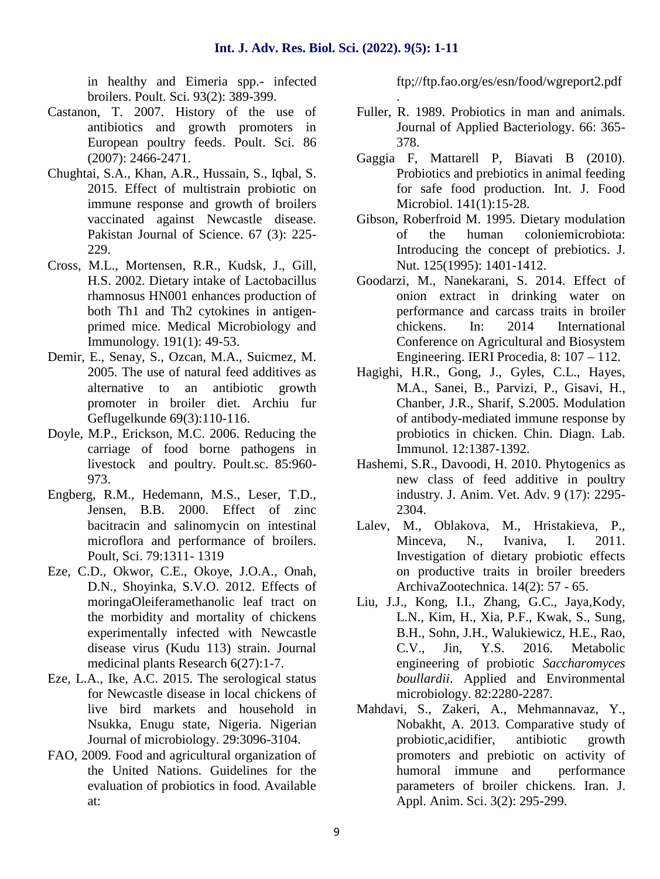in healthy and Eimeria spp.- infected broilers. Poult. Sci. 93(2): 389-399.

- Castanon, T. 2007. History of the use of antibiotics and growth promoters in European poultry feeds. Poult. Sci. 86 (2007): 2466-2471.
- Chughtai, S.A., Khan, A.R., Hussain, S., Iqbal, S. 2015. Effect of multistrain probiotic on immune response and growth of broilers vaccinated against Newcastle disease. Pakistan Journal of Science. 67 (3): 225- 229.
- Cross, M.L., Mortensen, R.R., Kudsk, J., Gill, H.S. 2002. Dietary intake of Lactobacillus rhamnosus HN001 enhances production of both Th1 and Th2 cytokines in antigen primed mice. Medical Microbiology and Immunology. 191(1): 49-53.
- Demir, E., Senay, S., Ozcan, M.A., Suicmez, M. 2005. The use of natural feed additives as alternative to an antibiotic growth promoter in broiler diet. Archiu fur Geflugelkunde 69(3):110-116.
- Doyle, M.P., Erickson, M.C. 2006. Reducing the carriage of food borne pathogens in livestock and poultry. Poult.sc. 85:960- 973.
- Engberg, R.M., Hedemann, M.S., Leser, T.D., Jensen, B.B. 2000. Effect of zinc bacitracin and salinomycin on intestinal microflora and performance of broilers. Poult, Sci. 79:1311- 1319
- Eze, C.D., Okwor, C.E., Okoye, J.O.A., Onah, D.N., Shoyinka, S.V.O. 2012. Effects of moringaOleiferamethanolic leaf tract on the morbidity and mortality of chickens experimentally infected with Newcastle disease virus (Kudu 113) strain. Journal medicinal plants Research 6(27):1-7.
- Eze, L.A., Ike, A.C. 2015. The serological status for Newcastle disease in local chickens of live bird markets and household in Nsukka, Enugu state, Nigeria. Nigerian Journal of microbiology. 29:3096-3104.
- FAO, 2009. Food and agricultural organization of the United Nations. Guidelines for the evaluation of probiotics in food. Available at:

ftp;//ftp.fao.org/es/esn/food/wgreport2.pdf

- . Fuller, R. 1989. Probiotics in man and animals. Journal of Applied Bacteriology. 66: 365- 378.
- Gaggia F, Mattarell P, Biavati B (2010). Probiotics and prebiotics in animal feeding for safe food production. Int. J. Food Microbiol. 141(1):15-28.
- Gibson, Roberfroid M. 1995. Dietary modulation of the human coloniemicrobiota: Introducing the concept of prebiotics. J. Nut. 125(1995): 1401-1412.
- Goodarzi, M., Nanekarani, S. 2014. Effect of onion extract in drinking water on performance and carcass traits in broiler chickens. In: 2014 International Conference on Agricultural and Biosystem Engineering. IERI Procedia, 8: 107 – 112.
- Hagighi, H.R., Gong, J., Gyles, C.L., Hayes, M.A., Sanei, B., Parvizi, P., Gisavi, H., Chanber, J.R., Sharif, S.2005. Modulation of antibody-mediated immune response by probiotics in chicken. Chin. Diagn. Lab. Immunol. 12:1387-1392.
- Hashemi, S.R., Davoodi, H. 2010. Phytogenics as new class of feed additive in poultry industry. J. Anim. Vet. Adv. 9 (17): 2295- 2304.
- Lalev, M., Oblakova, M., Hristakieva, P., Minceva, N., Ivaniva, I. 2011. Investigation of dietary probiotic effects on productive traits in broiler breeders ArchivaZootechnica. 14(2): 57 - 65.
- Liu, J.J., Kong, I.I., Zhang, G.C., Jaya,Kody, L.N., Kim, H., Xia, P.F., Kwak, S., Sung, B.H., Sohn, J.H., Walukiewicz, H.E., Rao, C.V., Jin, Y.S. 2016. Metabolic engineering of probiotic *Saccharomyces boullardii*. Applied and Environmental microbiology. 82:2280-2287.
- Mahdavi, S., Zakeri, A., Mehmannavaz, Y., Nobakht, A. 2013. Comparative study of probiotic,acidifier, antibiotic growth promoters and prebiotic on activity of humoral immune and performance parameters of broiler chickens. Iran. J. Appl. Anim. Sci. 3(2): 295-299.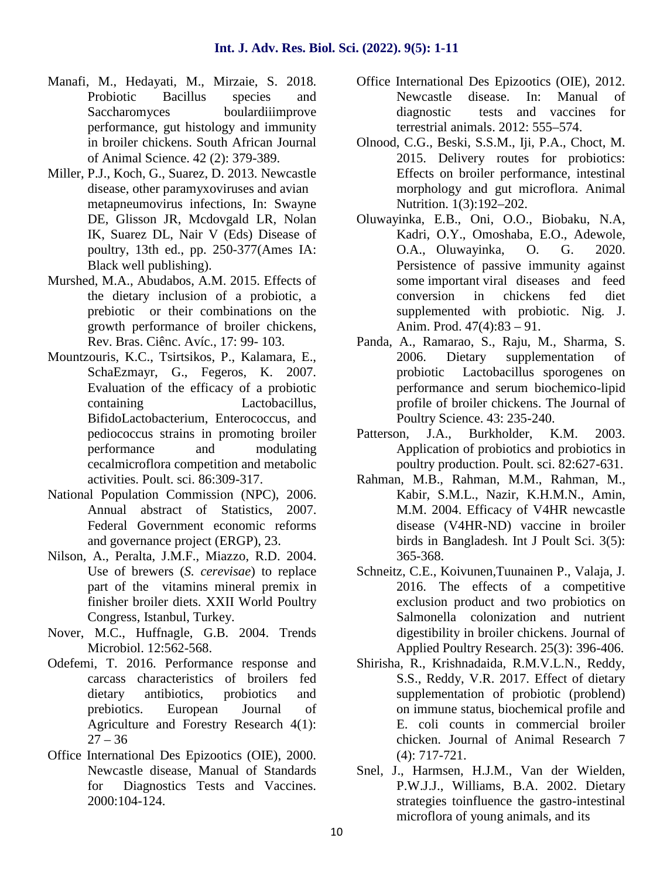- Manafi, M., Hedayati, M., Mirzaie, S. 2018. Probiotic Bacillus species and Saccharomyces boulardiiimprove performance, gut histology and immunity in broiler chickens. South African Journal of Animal Science. 42 (2): 379-389.
- Miller, P.J., Koch, G., Suarez, D. 2013. Newcastle disease, other paramyxoviruses and avian metapneumovirus infections, In: Swayne DE, Glisson JR, Mcdovgald LR, Nolan IK, Suarez DL, Nair V (Eds) Disease of poultry, 13th ed., pp. 250-377(Ames IA: Black well publishing).
- Murshed, M.A., Abudabos, A.M. 2015. Effects of the dietary inclusion of a probiotic, a prebiotic or their combinations on the growth performance of broiler chickens, Rev. Bras. Ciênc. Avíc., 17: 99- 103.
- Mountzouris, K.C., Tsirtsikos, P., Kalamara, E., SchaEzmayr, G., Fegeros, K. 2007. Evaluation of the efficacy of a probiotic containing Lactobacillus, BifidoLactobacterium, Enterococcus, and pediococcus strains in promoting broiler performance and modulating cecalmicroflora competition and metabolic activities. Poult. sci. 86:309-317.
- National Population Commission (NPC), 2006. Annual abstract of Statistics, 2007. Federal Government economic reforms and governance project (ERGP), 23.
- Nilson, A., Peralta, J.M.F., Miazzo, R.D. 2004. Use of brewers (*S. cerevisae*) to replace part of the vitamins mineral premix in finisher broiler diets. XXII World Poultry Congress, Istanbul, Turkey.
- Nover, M.C., Huffnagle, G.B. 2004. Trends Microbiol. 12:562-568.
- Odefemi, T. 2016. Performance response and carcass characteristics of broilers fed dietary antibiotics, probiotics and prebiotics. European Journal of Agriculture and Forestry Research 4(1):  $27 - 36$
- Office International Des Epizootics (OIE), 2000. Newcastle disease, Manual of Standards for Diagnostics Tests and Vaccines. 2000:104-124.
- Office International Des Epizootics (OIE), 2012. Newcastle disease. In: Manual of diagnostic tests and vaccines for terrestrial animals. 2012: 555–574.
- Olnood, C.G., Beski, S.S.M., Iji, P.A., Choct, M. 2015. Delivery routes for probiotics: Effects on broiler performance, intestinal morphology and gut microflora. Animal Nutrition. 1(3):192–202.
- Oluwayinka, E.B., Oni, O.O., Biobaku, N.A, Kadri, O.Y., Omoshaba, E.O., Adewole, O.A., Oluwayinka, O. G. 2020. Persistence of passive immunity against some important viral diseases and feed conversion in chickens fed diet supplemented with probiotic. Nig. J. Anim. Prod. 47(4):83 – 91.
- Panda, A., Ramarao, S., Raju, M., Sharma, S. 2006. Dietary supplementation of probiotic Lactobacillus sporogenes on performance and serum biochemico-lipid profile of broiler chickens. The Journal of Poultry Science. 43: 235-240.
- Patterson, J.A., Burkholder, K.M. 2003. Application of probiotics and probiotics in poultry production. Poult. sci. 82:627-631.
- Rahman, M.B., Rahman, M.M., Rahman, M., Kabir, S.M.L., Nazir, K.H.M.N., Amin, M.M. 2004. Efficacy of V4HR newcastle disease (V4HR-ND) vaccine in broiler birds in Bangladesh. Int J Poult Sci. 3(5): 365-368.
- Schneitz, C.E., Koivunen,Tuunainen P., Valaja, J. 2016. The effects of a competitive exclusion product and two probiotics on Salmonella colonization and nutrient digestibility in broiler chickens. Journal of Applied Poultry Research. 25(3): 396-406.
- Shirisha, R., Krishnadaida, R.M.V.L.N., Reddy, S.S., Reddy, V.R. 2017. Effect of dietary supplementation of probiotic (problend) on immune status, biochemical profile and E. coli counts in commercial broiler chicken. Journal of Animal Research 7 (4): 717-721.
- Snel, J., Harmsen, H.J.M., Van der Wielden, P.W.J.J., Williams, B.A. 2002. Dietary strategies toinfluence the gastro-intestinal microflora of young animals, and its